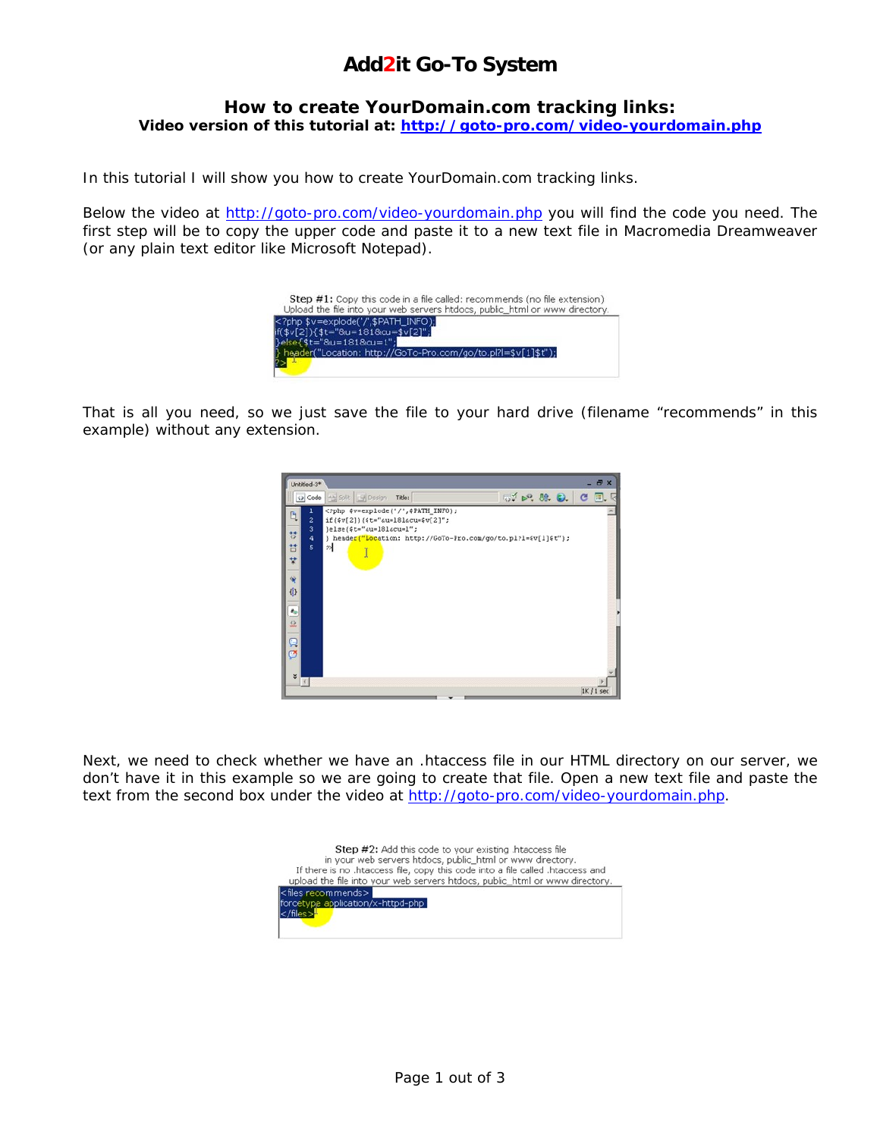### **Add2it Go-To System**

### **How to create YourDomain.com tracking links: Video version of this tutorial at: [http://goto-pro.com/video-yourdomain.php](http://goto-pro.com/video-yourdomain.php?silver=2)**

In this tutorial I will show you how to create YourDomain.com tracking links.

Below the video at [http://goto-pro.com/video-yourdomain.php](http://goto-pro.com/video-yourdomain.php?silver=2) you will find the code you need. The first step will be to copy the upper code and paste it to a new text file in Macromedia Dreamweaver (or any plain text editor like Microsoft Notepad).

| <b>Step #1:</b> Copy this code in a file called: recommends (no file extension)<br>Upload the file into your web servers htdocs, public_html or www directory.         |
|------------------------------------------------------------------------------------------------------------------------------------------------------------------------|
| php \$v=explode('/',\$PATH_INFO);<br if(\$v[2]){\$t="8u=181&cu=\$v[2]";<br>Pelse { \$t="&u=181&cu=1";<br>header("Location: http://GoTo-Pro.com/go/to.pl?l=\$v[1]\$t"); |

That is all you need, so we just save the file to your hard drive (filename "recommends" in this example) without any extension.



Next, we need to check whether we have an .htaccess file in our HTML directory on our server, we don't have it in this example so we are going to create that file. Open a new text file and paste the text from the second box under the video at [http://goto-pro.com/video-yourdomain.php.](http://goto-pro.com/video-yourdomain.php?silver=2)

| <b>Step #2:</b> Add this code to your existing .htaccess file<br>in your web servers htdocs, public_html or www directory.<br>If there is no .htaccess file, copy this code into a file called .htaccess and |
|--------------------------------------------------------------------------------------------------------------------------------------------------------------------------------------------------------------|
| upload the file into your web servers htdocs, public_html or www directory.                                                                                                                                  |
| <files recommends=""><br/>forcetype application/x-httpd-php<br/></files> <del>l</del>                                                                                                                        |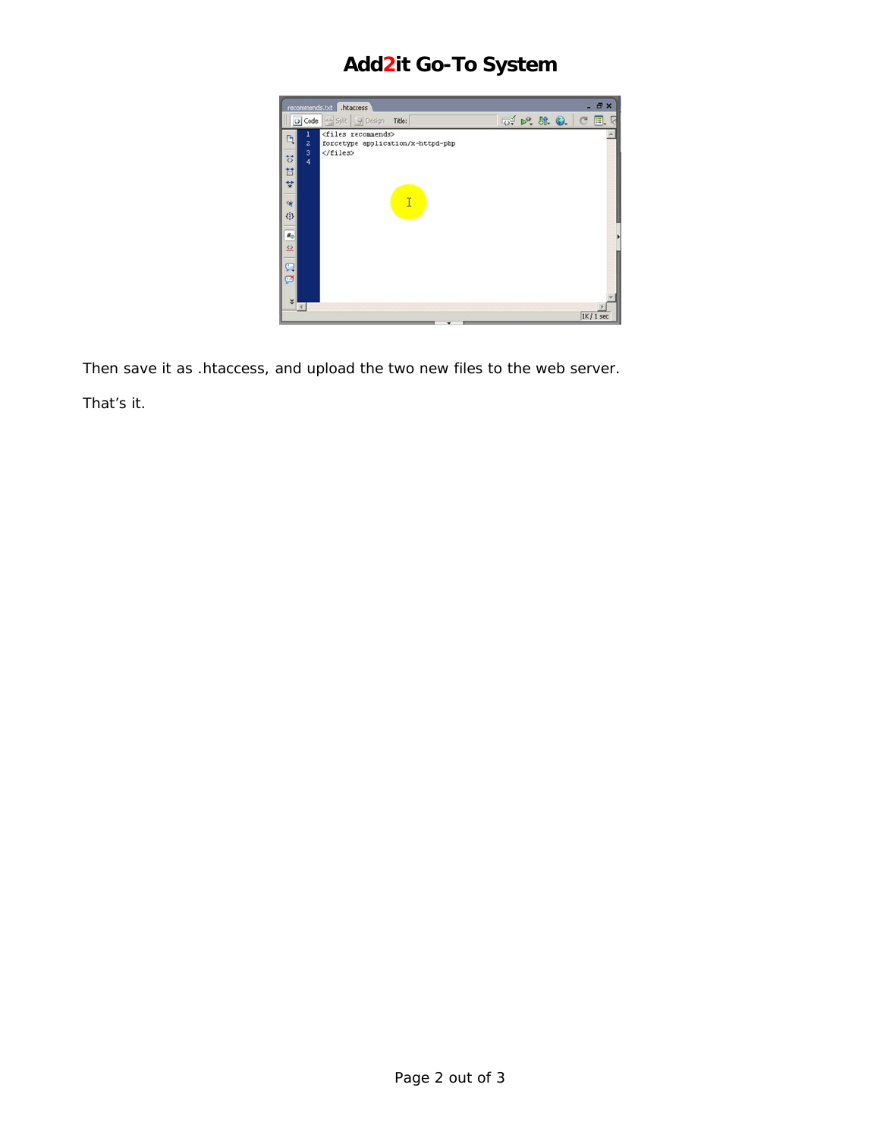# **Add2it Go-To System**



Then save it as .htaccess, and upload the two new files to the web server.

That's it.